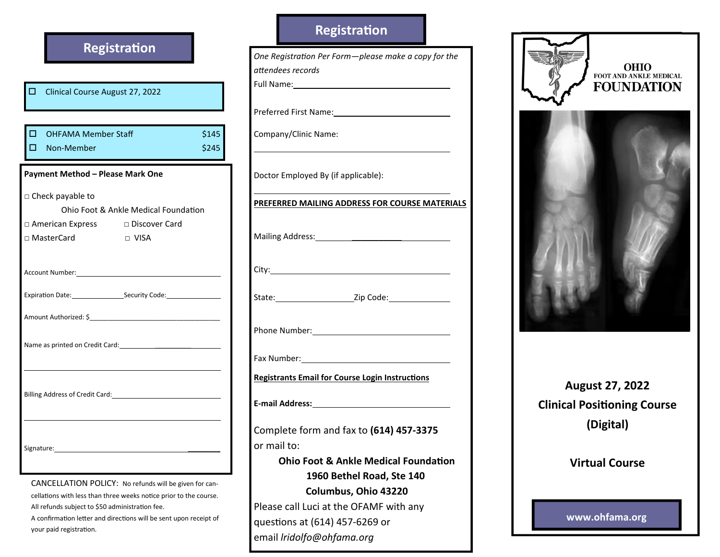|                                                                                                                                                                                                                                                     | <b>Registration</b> |                |
|-----------------------------------------------------------------------------------------------------------------------------------------------------------------------------------------------------------------------------------------------------|---------------------|----------------|
| о<br>Clinical Course August 27, 2022                                                                                                                                                                                                                |                     |                |
| $\Box$<br><b>OHFAMA Member Staff</b><br>п<br>Non-Member                                                                                                                                                                                             |                     | \$145<br>\$245 |
| Payment Method - Please Mark One                                                                                                                                                                                                                    |                     |                |
| □ Check payable to<br>Ohio Foot & Ankle Medical Foundation<br>□ American Express □ Discover Card                                                                                                                                                    |                     |                |
| □ MasterCard                                                                                                                                                                                                                                        | $\sqcap$ VISA       |                |
| Account Number: 1999 March 1999 March 1999 March 1999 March 1999 March 1999 March 1999 March 1999 March 1999 M<br>Expiration Date: Security Code: COMENTING CONSERVING                                                                              |                     |                |
| Name as printed on Credit Card: Name as printed on Credit Card:                                                                                                                                                                                     |                     |                |
| Billing Address of Credit Card: 1997                                                                                                                                                                                                                |                     |                |
| Signature:                                                                                                                                                                                                                                          |                     |                |
| CANCELLATION POLICY: No refunds will be given for can-<br>cellations with less than three weeks notice prior to the course.<br>All refunds subject to \$50 administration fee.<br>A confirmation letter and directions will be sent upon receipt of |                     |                |

onfirmation letter and directions will be sent upon receipt o your paid registration.

## Registration

One Registration Per Form-please make a copy for the attendees records Full Name: Preferred First Name: Company/Clinic Name: Doctor Employed By (if applicable): PREFERRED MAILING ADDRESS FOR COURSE MATERIALSMailing Address: \_\_\_\_\_\_\_\_\_\_\_ City: State: \_\_\_\_\_\_\_\_\_\_\_\_\_\_\_\_\_\_\_\_\_\_\_\_\_\_\_\_\_Zip Code: Phone Number: 2008 Fax Number: **Registrants Email for Course Login Instructions** E-mail Address:Complete form and fax to (614) 457-3375 or mail to: Ohio Foot & Ankle Medical Foundation 1960 Bethel Road, Ste 140 Columbus, Ohio 43220

Please call Luci at the OFAMF with any

questions at (614) 457-6269 or email lridolfo@ohfama.org





August 27, 2022 **Clinical Positioning Course** (Digital)

Virtual Course

www.ohfama.org